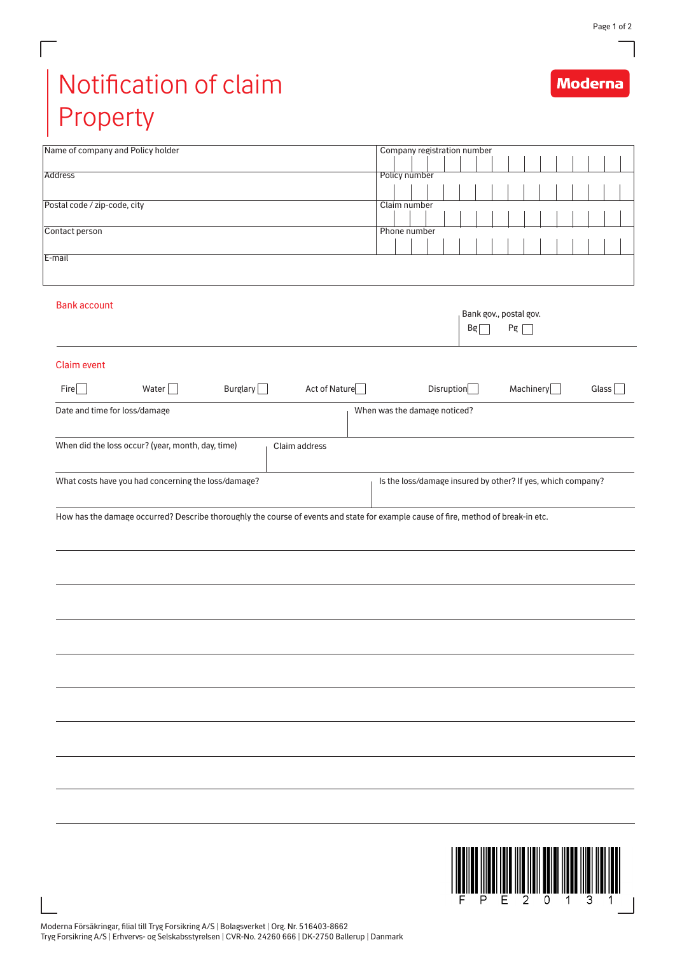## Notification of claim Property

Г

| Name of company and Policy holder                                                                                                  | Company registration number                                 |
|------------------------------------------------------------------------------------------------------------------------------------|-------------------------------------------------------------|
|                                                                                                                                    |                                                             |
| Address                                                                                                                            | Policy number                                               |
|                                                                                                                                    |                                                             |
| Postal code / zip-code, city                                                                                                       | Claim number                                                |
| Contact person                                                                                                                     | Phone number                                                |
|                                                                                                                                    |                                                             |
| E-mail                                                                                                                             |                                                             |
|                                                                                                                                    |                                                             |
|                                                                                                                                    |                                                             |
| <b>Bank account</b>                                                                                                                |                                                             |
|                                                                                                                                    | Bank gov., postal gov.                                      |
|                                                                                                                                    | Pg<br>Bg                                                    |
|                                                                                                                                    |                                                             |
| <b>Claim event</b>                                                                                                                 |                                                             |
|                                                                                                                                    |                                                             |
| Burglary $\Box$<br>Act of Nature<br>Fire<br>Water $\Box$                                                                           | Disruption<br>Machinery<br>Glass                            |
|                                                                                                                                    |                                                             |
| Date and time for loss/damage                                                                                                      | When was the damage noticed?                                |
|                                                                                                                                    |                                                             |
| When did the loss occur? (year, month, day, time)<br>Claim address                                                                 |                                                             |
|                                                                                                                                    |                                                             |
| What costs have you had concerning the loss/damage?                                                                                | Is the loss/damage insured by other? If yes, which company? |
|                                                                                                                                    |                                                             |
|                                                                                                                                    |                                                             |
| How has the damage occurred? Describe thoroughly the course of events and state for example cause of fire, method of break-in etc. |                                                             |
|                                                                                                                                    |                                                             |
|                                                                                                                                    |                                                             |
|                                                                                                                                    |                                                             |
|                                                                                                                                    |                                                             |
|                                                                                                                                    |                                                             |
|                                                                                                                                    |                                                             |
|                                                                                                                                    |                                                             |
|                                                                                                                                    |                                                             |
|                                                                                                                                    |                                                             |
|                                                                                                                                    |                                                             |
|                                                                                                                                    |                                                             |
|                                                                                                                                    |                                                             |
|                                                                                                                                    |                                                             |
|                                                                                                                                    |                                                             |
|                                                                                                                                    |                                                             |
|                                                                                                                                    |                                                             |
|                                                                                                                                    |                                                             |
|                                                                                                                                    |                                                             |
|                                                                                                                                    |                                                             |
|                                                                                                                                    |                                                             |
|                                                                                                                                    |                                                             |
|                                                                                                                                    |                                                             |
|                                                                                                                                    |                                                             |
|                                                                                                                                    |                                                             |
|                                                                                                                                    |                                                             |
|                                                                                                                                    | 2                                                           |

## **Moderna**